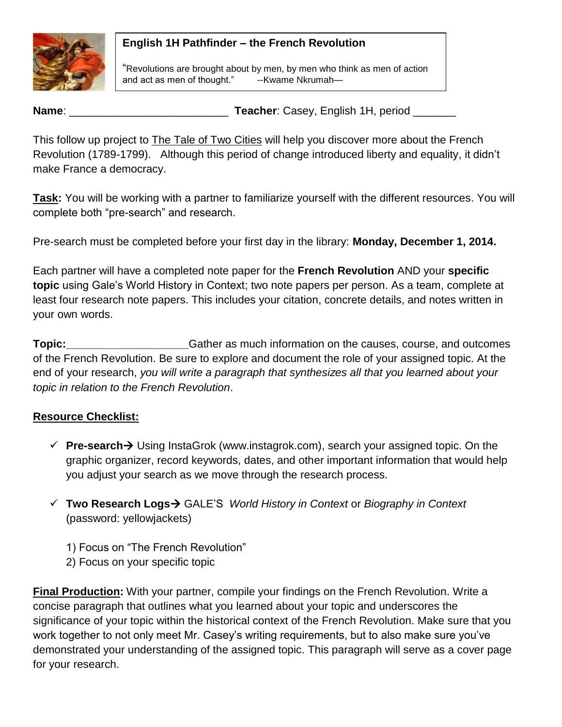## **English 1H Pathfinder – the French Revolution**



"Revolutions are brought about by men, by men who think as men of action and act as men of thought." --Kwame Nkrumah-

**Name**: \_\_\_\_\_\_\_\_\_\_\_\_\_\_\_\_\_\_\_\_\_\_\_\_\_\_ **Teacher**: Casey, English 1H, period \_\_\_\_\_\_\_

This follow up project to **The Tale of Two Cities** will help you discover more about the French Revolution (1789-1799). Although this period of change introduced liberty and equality, it didn't make France a democracy.

**Task:** You will be working with a partner to familiarize yourself with the different resources. You will complete both "pre-search" and research.

Pre-search must be completed before your first day in the library: **Monday, December 1, 2014.**

Each partner will have a completed note paper for the **French Revolution** AND your **specific topic** using Gale's World History in Context; two note papers per person. As a team, complete at least four research note papers. This includes your citation, concrete details, and notes written in your own words.

**Topic:** Topic: Gather as much information on the causes, course, and outcomes of the French Revolution. Be sure to explore and document the role of your assigned topic. At the end of your research, *you will write a paragraph that synthesizes all that you learned about your topic in relation to the French Revolution*.

## **Resource Checklist:**

- **Pre-search →** Using InstaGrok (www.instagrok.com), search your assigned topic. On the graphic organizer, record keywords, dates, and other important information that would help you adjust your search as we move through the research process.
- **Two Research Logs** GALE'S *World History in Context* or *Biography in Context* (password: yellowjackets)
	- 1) Focus on "The French Revolution"
	- 2) Focus on your specific topic

**Final Production:** With your partner, compile your findings on the French Revolution. Write a concise paragraph that outlines what you learned about your topic and underscores the significance of your topic within the historical context of the French Revolution. Make sure that you work together to not only meet Mr. Casey's writing requirements, but to also make sure you've demonstrated your understanding of the assigned topic. This paragraph will serve as a cover page for your research.